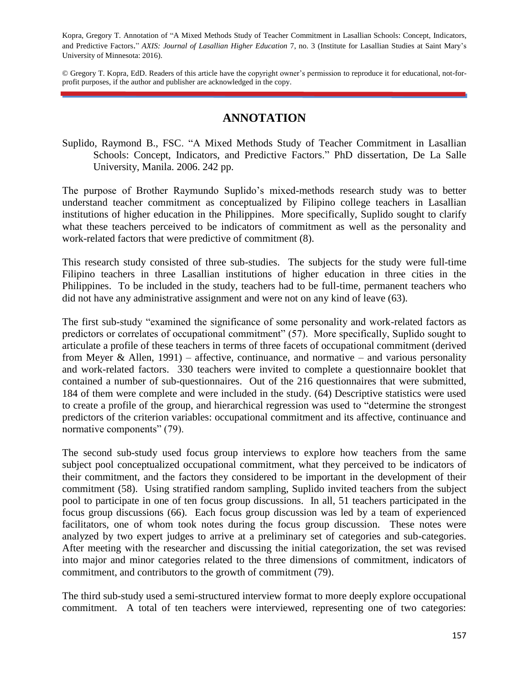Kopra, Gregory T. Annotation of "A Mixed Methods Study of Teacher Commitment in Lasallian Schools: Concept, Indicators, and Predictive Factors." *AXIS: Journal of Lasallian Higher Education* 7, no. 3 (Institute for Lasallian Studies at Saint Mary's University of Minnesota: 2016).

© Gregory T. Kopra, EdD. Readers of this article have the copyright owner's permission to reproduce it for educational, not-forprofit purposes, if the author and publisher are acknowledged in the copy.

## **ANNOTATION**

Suplido, Raymond B., FSC. "A Mixed Methods Study of Teacher Commitment in Lasallian Schools: Concept, Indicators, and Predictive Factors." PhD dissertation, De La Salle University, Manila. 2006. 242 pp.

The purpose of Brother Raymundo Suplido's mixed-methods research study was to better understand teacher commitment as conceptualized by Filipino college teachers in Lasallian institutions of higher education in the Philippines. More specifically, Suplido sought to clarify what these teachers perceived to be indicators of commitment as well as the personality and work-related factors that were predictive of commitment (8).

This research study consisted of three sub-studies. The subjects for the study were full-time Filipino teachers in three Lasallian institutions of higher education in three cities in the Philippines. To be included in the study, teachers had to be full-time, permanent teachers who did not have any administrative assignment and were not on any kind of leave (63).

The first sub-study "examined the significance of some personality and work-related factors as predictors or correlates of occupational commitment" (57). More specifically, Suplido sought to articulate a profile of these teachers in terms of three facets of occupational commitment (derived from Meyer & Allen, 1991) – affective, continuance, and normative – and various personality and work-related factors. 330 teachers were invited to complete a questionnaire booklet that contained a number of sub-questionnaires. Out of the 216 questionnaires that were submitted, 184 of them were complete and were included in the study. (64) Descriptive statistics were used to create a profile of the group, and hierarchical regression was used to "determine the strongest predictors of the criterion variables: occupational commitment and its affective, continuance and normative components" (79).

The second sub-study used focus group interviews to explore how teachers from the same subject pool conceptualized occupational commitment, what they perceived to be indicators of their commitment, and the factors they considered to be important in the development of their commitment (58). Using stratified random sampling, Suplido invited teachers from the subject pool to participate in one of ten focus group discussions. In all, 51 teachers participated in the focus group discussions (66). Each focus group discussion was led by a team of experienced facilitators, one of whom took notes during the focus group discussion. These notes were analyzed by two expert judges to arrive at a preliminary set of categories and sub-categories. After meeting with the researcher and discussing the initial categorization, the set was revised into major and minor categories related to the three dimensions of commitment, indicators of commitment, and contributors to the growth of commitment (79).

The third sub-study used a semi-structured interview format to more deeply explore occupational commitment. A total of ten teachers were interviewed, representing one of two categories: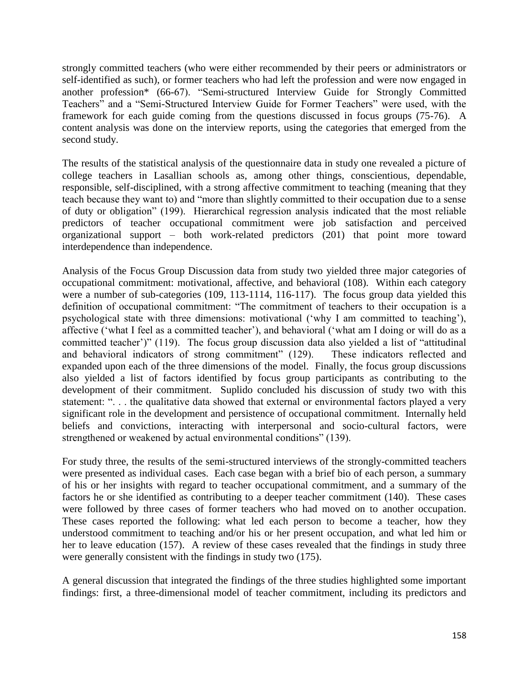strongly committed teachers (who were either recommended by their peers or administrators or self-identified as such), or former teachers who had left the profession and were now engaged in another profession\* (66-67). "Semi-structured Interview Guide for Strongly Committed Teachers" and a "Semi-Structured Interview Guide for Former Teachers" were used, with the framework for each guide coming from the questions discussed in focus groups (75-76). A content analysis was done on the interview reports, using the categories that emerged from the second study.

The results of the statistical analysis of the questionnaire data in study one revealed a picture of college teachers in Lasallian schools as, among other things, conscientious, dependable, responsible, self-disciplined, with a strong affective commitment to teaching (meaning that they teach because they want to) and "more than slightly committed to their occupation due to a sense of duty or obligation" (199). Hierarchical regression analysis indicated that the most reliable predictors of teacher occupational commitment were job satisfaction and perceived organizational support – both work-related predictors (201) that point more toward interdependence than independence.

Analysis of the Focus Group Discussion data from study two yielded three major categories of occupational commitment: motivational, affective, and behavioral (108). Within each category were a number of sub-categories (109, 113-1114, 116-117). The focus group data yielded this definition of occupational commitment: "The commitment of teachers to their occupation is a psychological state with three dimensions: motivational ('why I am committed to teaching'), affective ('what I feel as a committed teacher'), and behavioral ('what am I doing or will do as a committed teacher')" (119). The focus group discussion data also yielded a list of "attitudinal and behavioral indicators of strong commitment" (129). These indicators reflected and expanded upon each of the three dimensions of the model. Finally, the focus group discussions also yielded a list of factors identified by focus group participants as contributing to the development of their commitment. Suplido concluded his discussion of study two with this statement: ". . . the qualitative data showed that external or environmental factors played a very significant role in the development and persistence of occupational commitment. Internally held beliefs and convictions, interacting with interpersonal and socio-cultural factors, were strengthened or weakened by actual environmental conditions" (139).

For study three, the results of the semi-structured interviews of the strongly-committed teachers were presented as individual cases. Each case began with a brief bio of each person, a summary of his or her insights with regard to teacher occupational commitment, and a summary of the factors he or she identified as contributing to a deeper teacher commitment (140). These cases were followed by three cases of former teachers who had moved on to another occupation. These cases reported the following: what led each person to become a teacher, how they understood commitment to teaching and/or his or her present occupation, and what led him or her to leave education (157). A review of these cases revealed that the findings in study three were generally consistent with the findings in study two (175).

A general discussion that integrated the findings of the three studies highlighted some important findings: first, a three-dimensional model of teacher commitment, including its predictors and